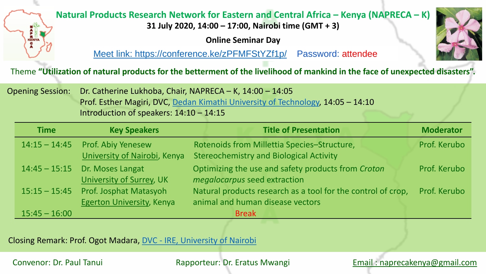

## **Natural Products Research Network for Eastern and Central Africa – Kenya (NAPRECA – K)**

**31 July 2020, 14:00 – 17:00, Nairobi time (GMT + 3)**

**Online Seminar Day** 

[Meet link: https://conference.ke/zPFMFStYZf1p/](https://conference.ke/zPFMFStYZf1p/) Password: attendee

Theme **"Utilization of natural products for the betterment of the livelihood of mankind in the face of unexpected disasters".**

| Opening Session: Dr. Catherine Lukhoba, Chair, NAPRECA – K, 14:00 – 14:05              |  |  |
|----------------------------------------------------------------------------------------|--|--|
| <b>Prof. Esther Magiri, DVC, Dedan Kimathi University of Technology, 14:05 - 14:10</b> |  |  |
| Introduction of speakers: $14:10 - 14:15$                                              |  |  |

| <b>Time</b>     | <b>Key Speakers</b>                                       | <b>Title of Presentation</b>                                                                     | <b>Moderator</b> |
|-----------------|-----------------------------------------------------------|--------------------------------------------------------------------------------------------------|------------------|
| $14:15 - 14:45$ | <b>Prof. Abiy Yenesew</b><br>University of Nairobi, Kenya | Rotenoids from Millettia Species-Structure,<br><b>Stereochemistry and Biological Activity</b>    | Prof. Kerubo     |
| $14:45 - 15:15$ | Dr. Moses Langat<br>University of Surrey, UK              | Optimizing the use and safety products from Croton<br><i>megalocarpus</i> seed extraction        | Prof. Kerubo     |
| $15:15 - 15:45$ | Prof. Josphat Matasyoh<br>Egerton University, Kenya       | Natural products research as a tool for the control of crop,<br>animal and human disease vectors | Prof. Kerubo     |
| $15:45 - 16:00$ |                                                           | <b>Break</b>                                                                                     |                  |

Closing Remark: Prof. Ogot Madara, DVC - [IRE, University of Nairobi](https://dvcrie.uonbi.ac.ke/)

Email : [naprecakenya@gmail.com](mailto:naprecakenya@gmail.com)